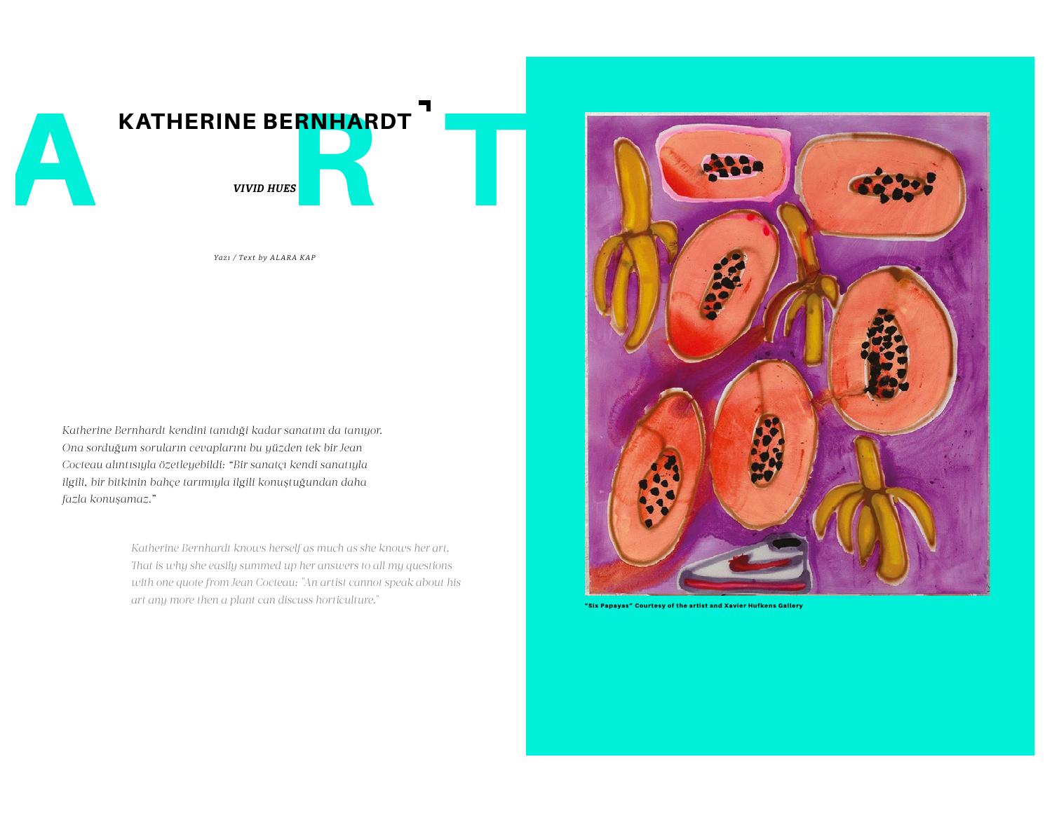

*Yazı / Text by ALARA KAP*

*Katherine Bernhardt kendini tanıdıği kadar sanatını da tanıyor. Ona sorduğum soruların cevaplarını bu yüzden tek bir Jean Cocteau alıntısıyla özetleyebildi: "Bir sanatçı kendi sanatıyla ilgili, bir bitkinin bahçe tarımıyla ilgili konuştuğundan daha fazla konuşamaz."* 

> *Katherine Bernhardt knows herself as much as she knows her art. Tat is why she easily summed up her answers to all my questions with one quote from Jean Cocteau: "An artist cannot speak about his art any more then a plant can discuss horticulture."*



"Six Papayas" Courtesy of the artist and Xavier Hufkens Gallery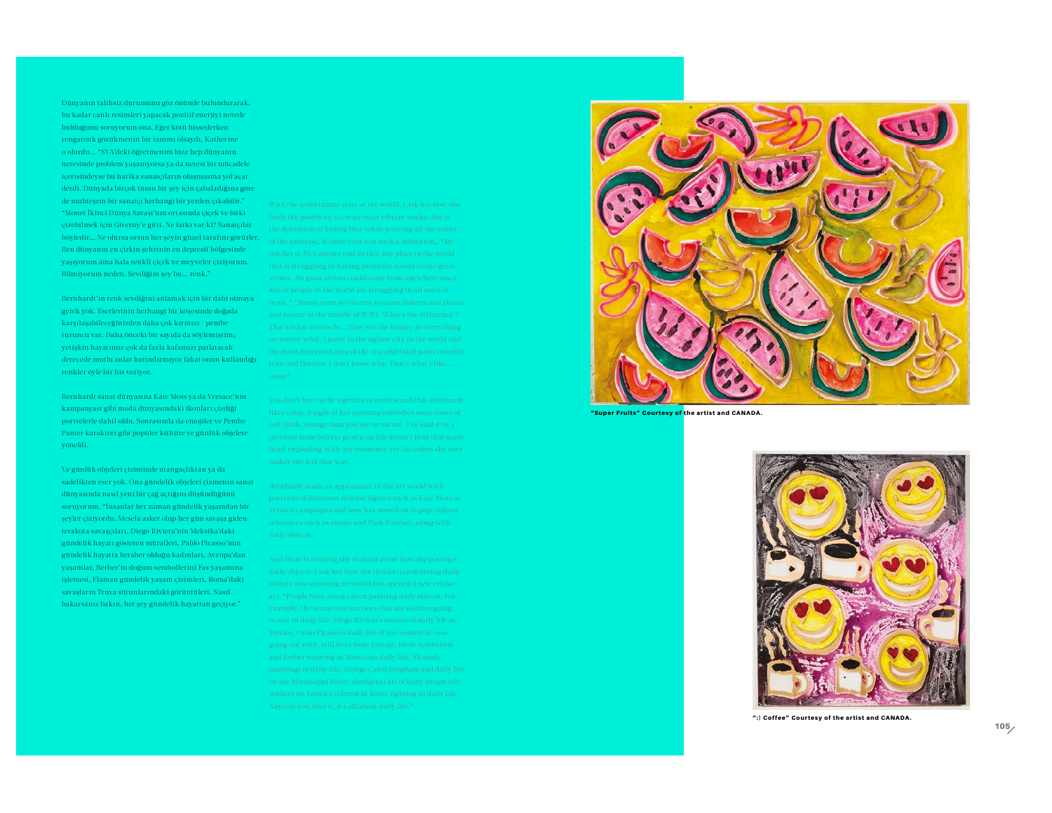Dünyanın talihsiz durumunu göz önünde bulundurarak, bu kadar canlı resimleri yapacak pozitif enerjiyi nerede bulduğunu soruyorum ona. Eğer kötü hissederken rengarenk gözükmenin bir tanımı olsaydı, Katherine o olurdu... "SVA'deki öğretmenim bize hep dünyanın neresinde problem yaşanıyorsa ya da neresi bir mücadele içerisindeyse bu harika sanatçıların oluşmasına yol açar derdi. Dünyada birçok insan bir şey için çabaladığına göre de muhteşem bir sanatçı herhangi bir yerden çıkabilir." "Monet İkinci Dünya Savaşı'nın ortasında çiçek ve bitki çizebilmek için Giverny'e gitti. Ne farkı var ki? Sanatçılar böyledir... Ne olursa orsun her şeyin güzel tarafını görürler. Ben dünyanın en çirkin şehrinin en depresif bölgesinde yaşıyorum ama hala renkli çiçek ve meyveler çiziyorum. Bilmiyorum neden. Sevdiğim şey bu... renk."

Bernhardt'ın renk sevdiğini anlamak için bir dahi olmaya gerek yok. Eserlerinin herhangi bir köşesinde doğada karşılaşabileceğinizden daha çok kırmızı / pembe / turuncu var. Daha önceki bir sayıda da söylemiştim; yetişkin hayatımız çok da fazla kafamızı patlatacak derecede mutlu anlar barındırmıyor fakat onun kullandığı renkler öyle bir his veriyor.

Bernhardt sanat dünyasına Kate Moss ya da Versace'nin kampanyası gibi moda dünyasındaki ikonları çizdiği portrelerle dahil oldu. Sonrasında da emojiler ve Pembe Panter karakteri gibi popüler kültüre ve günlük objelere yöneldi.

Ve günlük objeleri çiziminde utangaçlıktan ya da sadelikten eser yok. Ona gündelik objeleri çizmenin sanat dünyasında nasıl yeni bir çağ açtığını düşündüğünü soruyorum. "İnsanlar her zaman gündelik yaşamdan bir şeyler çiziyordu. Mesela asker olup her gün savaşa giden terakota savaşçıları, Diego Riviera'nin Meksika'daki gündelik hayatı gösteren müralleri, Pablo Picasso'nun gündelik hayatta beraber olduğu kadınları, Avrupa'dan yaşamlar, Berber'in doğum sembollerini Fas yaşamına işlemesi, Flaman gündelik yaşam çizimleri, Roma'daki savaşların Truva sütunlarındaki görüntüleri. Nasıl bakarsanız bakın, her şey gündelik hayattan geçiyor."



"Super Fruits" Courtesy of the artist and CANADA.



":) Coffee" Courtesy of the artist and CANADA.